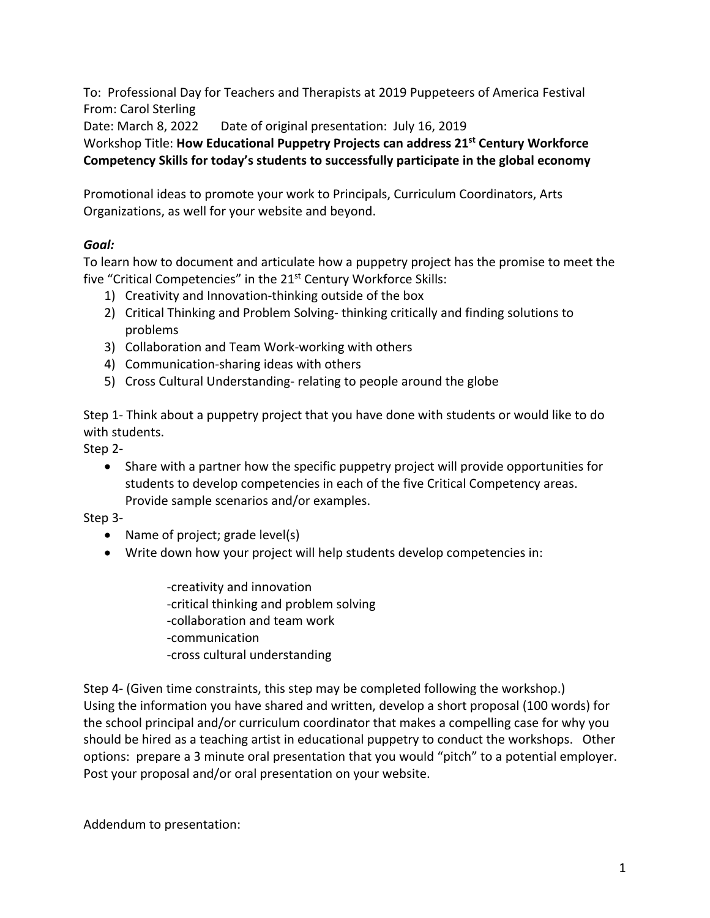To: Professional Day for Teachers and Therapists at 2019 Puppeteers of America Festival From: Carol Sterling

Date: March 8, 2022 Date of original presentation: July 16, 2019

Workshop Title: **How Educational Puppetry Projects can address 21st Century Workforce Competency Skills for today's students to successfully participate in the global economy**

Promotional ideas to promote your work to Principals, Curriculum Coordinators, Arts Organizations, as well for your website and beyond.

# *Goal:*

To learn how to document and articulate how a puppetry project has the promise to meet the five "Critical Competencies" in the  $21<sup>st</sup>$  Century Workforce Skills:

- 1) Creativity and Innovation-thinking outside of the box
- 2) Critical Thinking and Problem Solving- thinking critically and finding solutions to problems
- 3) Collaboration and Team Work-working with others
- 4) Communication-sharing ideas with others
- 5) Cross Cultural Understanding- relating to people around the globe

Step 1- Think about a puppetry project that you have done with students or would like to do with students.

Step 2-

• Share with a partner how the specific puppetry project will provide opportunities for students to develop competencies in each of the five Critical Competency areas. Provide sample scenarios and/or examples.

Step 3-

- Name of project; grade level(s)
- Write down how your project will help students develop competencies in:

-creativity and innovation -critical thinking and problem solving -collaboration and team work -communication -cross cultural understanding

Step 4- (Given time constraints, this step may be completed following the workshop.) Using the information you have shared and written, develop a short proposal (100 words) for the school principal and/or curriculum coordinator that makes a compelling case for why you should be hired as a teaching artist in educational puppetry to conduct the workshops. Other options: prepare a 3 minute oral presentation that you would "pitch" to a potential employer. Post your proposal and/or oral presentation on your website.

Addendum to presentation: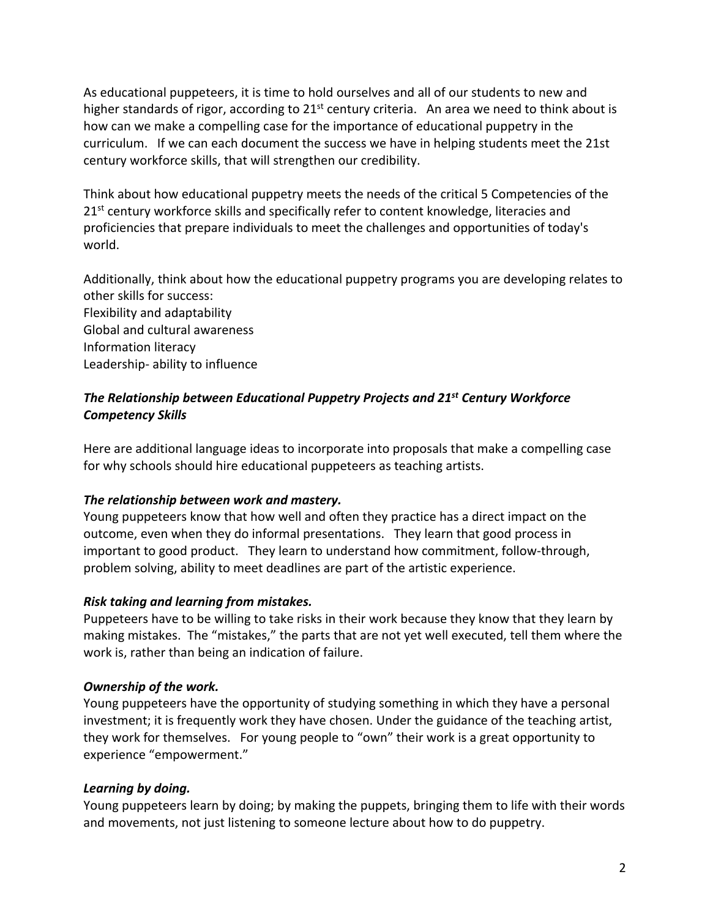As educational puppeteers, it is time to hold ourselves and all of our students to new and higher standards of rigor, according to  $21^{st}$  century criteria. An area we need to think about is how can we make a compelling case for the importance of educational puppetry in the curriculum. If we can each document the success we have in helping students meet the 21st century workforce skills, that will strengthen our credibility.

Think about how educational puppetry meets the needs of the critical 5 Competencies of the 21<sup>st</sup> century workforce skills and specifically refer to content knowledge, literacies and proficiencies that prepare individuals to meet the challenges and opportunities of today's world.

Additionally, think about how the educational puppetry programs you are developing relates to other skills for success: Flexibility and adaptability Global and cultural awareness Information literacy Leadership- ability to influence

# *The Relationship between Educational Puppetry Projects and 21st Century Workforce Competency Skills*

Here are additional language ideas to incorporate into proposals that make a compelling case for why schools should hire educational puppeteers as teaching artists.

# *The relationship between work and mastery.*

Young puppeteers know that how well and often they practice has a direct impact on the outcome, even when they do informal presentations. They learn that good process in important to good product. They learn to understand how commitment, follow-through, problem solving, ability to meet deadlines are part of the artistic experience.

## *Risk taking and learning from mistakes.*

Puppeteers have to be willing to take risks in their work because they know that they learn by making mistakes. The "mistakes," the parts that are not yet well executed, tell them where the work is, rather than being an indication of failure.

## *Ownership of the work.*

Young puppeteers have the opportunity of studying something in which they have a personal investment; it is frequently work they have chosen. Under the guidance of the teaching artist, they work for themselves. For young people to "own" their work is a great opportunity to experience "empowerment."

# *Learning by doing.*

Young puppeteers learn by doing; by making the puppets, bringing them to life with their words and movements, not just listening to someone lecture about how to do puppetry.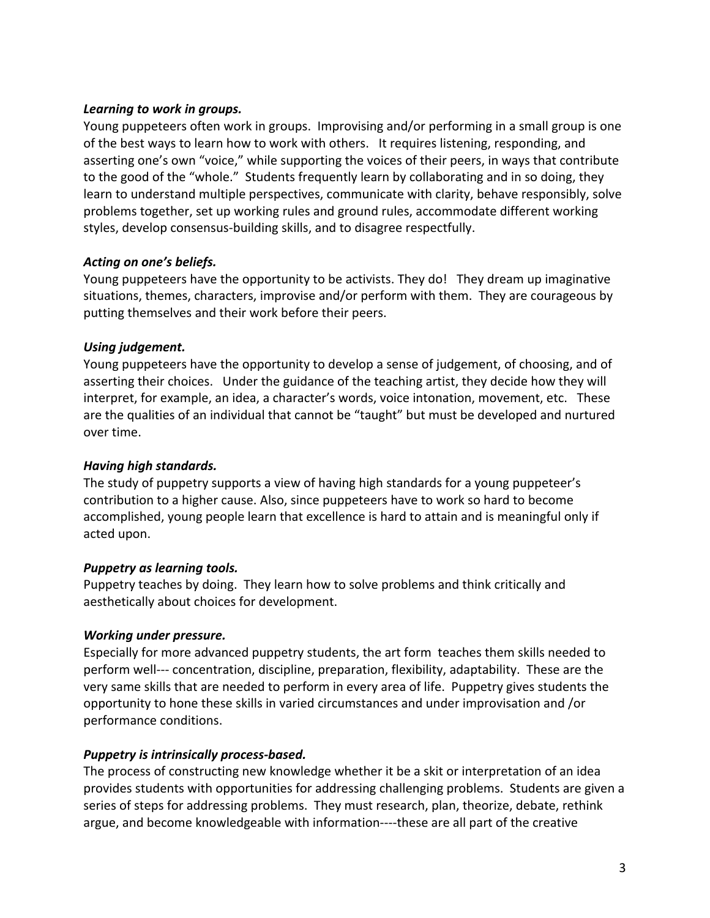### *Learning to work in groups.*

Young puppeteers often work in groups. Improvising and/or performing in a small group is one of the best ways to learn how to work with others. It requires listening, responding, and asserting one's own "voice," while supporting the voices of their peers, in ways that contribute to the good of the "whole." Students frequently learn by collaborating and in so doing, they learn to understand multiple perspectives, communicate with clarity, behave responsibly, solve problems together, set up working rules and ground rules, accommodate different working styles, develop consensus-building skills, and to disagree respectfully.

### *Acting on one's beliefs.*

Young puppeteers have the opportunity to be activists. They do! They dream up imaginative situations, themes, characters, improvise and/or perform with them. They are courageous by putting themselves and their work before their peers.

### *Using judgement.*

Young puppeteers have the opportunity to develop a sense of judgement, of choosing, and of asserting their choices. Under the guidance of the teaching artist, they decide how they will interpret, for example, an idea, a character's words, voice intonation, movement, etc. These are the qualities of an individual that cannot be "taught" but must be developed and nurtured over time.

### *Having high standards.*

The study of puppetry supports a view of having high standards for a young puppeteer's contribution to a higher cause. Also, since puppeteers have to work so hard to become accomplished, young people learn that excellence is hard to attain and is meaningful only if acted upon.

## *Puppetry as learning tools.*

Puppetry teaches by doing. They learn how to solve problems and think critically and aesthetically about choices for development.

## *Working under pressure.*

Especially for more advanced puppetry students, the art form teaches them skills needed to perform well--- concentration, discipline, preparation, flexibility, adaptability. These are the very same skills that are needed to perform in every area of life. Puppetry gives students the opportunity to hone these skills in varied circumstances and under improvisation and /or performance conditions.

## *Puppetry is intrinsically process-based.*

The process of constructing new knowledge whether it be a skit or interpretation of an idea provides students with opportunities for addressing challenging problems. Students are given a series of steps for addressing problems. They must research, plan, theorize, debate, rethink argue, and become knowledgeable with information----these are all part of the creative